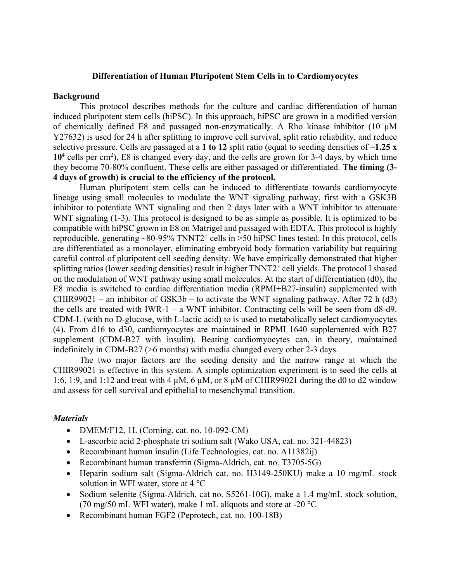#### **Differentiation of Human Pluripotent Stem Cells in to Cardiomyocytes**

#### **Background**

This protocol describes methods for the culture and cardiac differentiation of human induced pluripotent stem cells (hiPSC). In this approach, hiPSC are grown in a modified version of chemically defined E8 and passaged non-enzymatically. A Rho kinase inhibitor (10 μM Y27632) is used for 24 h after splitting to improve cell survival, split ratio reliability, and reduce selective pressure. Cells are passaged at a **1 to 12** split ratio (equal to seeding densities of ~**1.25 x**  10<sup>4</sup> cells per cm<sup>2</sup>), E8 is changed every day, and the cells are grown for 3-4 days, by which time they become 70-80% confluent. These cells are either passaged or differentiated. **The timing (3- 4 days of growth) is crucial to the efficiency of the protocol.**

Human pluripotent stem cells can be induced to differentiate towards cardiomyocyte lineage using small molecules to modulate the WNT signaling pathway, first with a GSK3B inhibitor to potentiate WNT signaling and then 2 days later with a WNT inhibitor to attenuate WNT signaling (1-3). This protocol is designed to be as simple as possible. It is optimized to be compatible with hiPSC grown in E8 on Matrigel and passaged with EDTA. This protocol is highly reproducible, generating  $\sim 80-95\%$  TNNT2<sup>+</sup> cells in  $\ge 50$  hiPSC lines tested. In this protocol, cells are differentiated as a monolayer, eliminating embryoid body formation variability but requiring careful control of pluripotent cell seeding density. We have empirically demonstrated that higher splitting ratios (lower seeding densities) result in higher TNNT2<sup>+</sup> cell yields. The protocol I sbased on the modulation of WNT pathway using small molecules. At the start of differentiation (d0), the E8 media is switched to cardiac differentiation media (RPMI+B27-insulin) supplemented with CHIR99021 – an inhibitor of GSK3b – to activate the WNT signaling pathway. After 72 h (d3) the cells are treated with IWR-1 – a WNT inhibitor. Contracting cells will be seen from d8-d9. CDM-L (with no D-glucose, with L-lactic acid) to is used to metabolically select cardiomyocytes (4). From d16 to d30, cardiomyocytes are maintained in RPMI 1640 supplemented with B27 supplement (CDM-B27 with insulin). Beating cardiomyocytes can, in theory, maintained indefinitely in CDM-B27 (>6 months) with media changed every other 2-3 days.

The two major factors are the seeding density and the narrow range at which the CHIR99021 is effective in this system. A simple optimization experiment is to seed the cells at 1:6, 1:9, and 1:12 and treat with 4  $\mu$ M, 6  $\mu$ M, or 8  $\mu$ M of CHIR99021 during the d0 to d2 window and assess for cell survival and epithelial to mesenchymal transition.

#### *Materials*

- DMEM/F12, 1L (Corning, cat. no. 10-092-CM)
- L-ascorbic acid 2-phosphate tri sodium salt (Wako USA, cat. no. 321-44823)
- Recombinant human insulin (Life Technologies, cat. no. A11382ij)
- Recombinant human transferrin (Sigma-Aldrich, cat. no. T3705-5G)
- Heparin sodium salt (Sigma-Aldrich cat. no. H3149-250KU) make a 10 mg/mL stock solution in WFI water, store at 4 °C
- Sodium selenite (Sigma-Aldrich, cat no. S5261-10G), make a 1.4 mg/mL stock solution, (70 mg/50 mL WFI water), make 1 mL aliquots and store at -20  $^{\circ}$ C
- Recombinant human FGF2 (Peprotech, cat. no. 100-18B)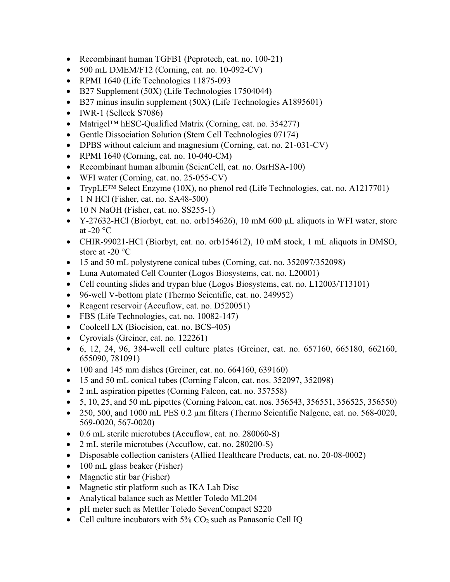- Recombinant human TGFB1 (Peprotech, cat. no. 100-21)
- 500 mL DMEM/F12 (Corning, cat. no. 10-092-CV)
- RPMI 1640 (Life Technologies 11875-093
- B27 Supplement (50X) (Life Technologies 17504044)
- B27 minus insulin supplement (50X) (Life Technologies A1895601)
- IWR-1 (Selleck S7086)
- Matrigel<sup>TM</sup> hESC-Qualified Matrix (Corning, cat. no. 354277)
- Gentle Dissociation Solution (Stem Cell Technologies 07174)
- DPBS without calcium and magnesium (Corning, cat. no. 21-031-CV)
- RPMI 1640 (Corning, cat. no. 10-040-CM)
- Recombinant human albumin (ScienCell, cat. no. OsrHSA-100)
- WFI water (Corning, cat. no. 25-055-CV)
- TrypLE<sup>TM</sup> Select Enzyme (10X), no phenol red (Life Technologies, cat. no. A1217701)
- 1 N HCl (Fisher, cat. no.  $SA48-500$ )
- 10 N NaOH (Fisher, cat. no. SS255-1)
- Y-27632-HCl (Biorbyt, cat. no. orb154626), 10 mM 600 μL aliquots in WFI water, store at -20 $\,^{\circ}$ C
- CHIR-99021-HCl (Biorbyt, cat. no. orb154612), 10 mM stock, 1 mL aliquots in DMSO, store at -20 °C
- 15 and 50 mL polystyrene conical tubes (Corning, cat. no. 352097/352098)
- Luna Automated Cell Counter (Logos Biosystems, cat. no. L20001)
- Cell counting slides and trypan blue (Logos Biosystems, cat. no. L12003/T13101)
- 96-well V-bottom plate (Thermo Scientific, cat. no. 249952)
- Reagent reservoir (Accuflow, cat. no. D520051)
- FBS (Life Technologies, cat. no. 10082-147)
- Coolcell LX (Biocision, cat. no. BCS-405)
- Cyrovials (Greiner, cat. no. 122261)
- 6, 12, 24, 96, 384-well cell culture plates (Greiner, cat. no. 657160, 665180, 662160, 655090, 781091)
- 100 and 145 mm dishes (Greiner, cat. no. 664160, 639160)
- 15 and 50 mL conical tubes (Corning Falcon, cat. nos. 352097, 352098)
- 2 mL aspiration pipettes (Corning Falcon, cat. no. 357558)
- 5, 10, 25, and 50 mL pipettes (Corning Falcon, cat. nos. 356543, 356551, 356525, 356550)
- 250, 500, and 1000 mL PES 0.2 µm filters (Thermo Scientific Nalgene, cat. no. 568-0020, 569-0020, 567-0020)
- 0.6 mL sterile microtubes (Accuflow, cat. no. 280060-S)
- 2 mL sterile microtubes (Accuflow, cat. no. 280200-S)
- Disposable collection canisters (Allied Healthcare Products, cat. no. 20-08-0002)
- 100 mL glass beaker (Fisher)
- Magnetic stir bar (Fisher)
- Magnetic stir platform such as IKA Lab Disc
- Analytical balance such as Mettler Toledo ML204
- pH meter such as Mettler Toledo SevenCompact S220
- Cell culture incubators with  $5\%$  CO<sub>2</sub> such as Panasonic Cell IQ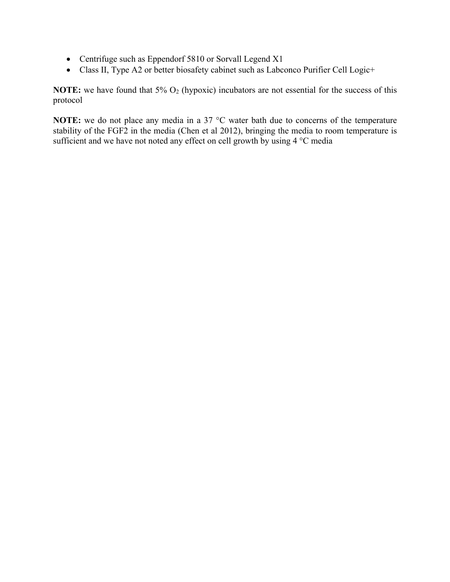- Centrifuge such as Eppendorf 5810 or Sorvall Legend X1
- Class II, Type A2 or better biosafety cabinet such as Labconco Purifier Cell Logic+

**NOTE:** we have found that 5% O<sub>2</sub> (hypoxic) incubators are not essential for the success of this protocol

**NOTE:** we do not place any media in a 37 °C water bath due to concerns of the temperature stability of the FGF2 in the media (Chen et al 2012), bringing the media to room temperature is sufficient and we have not noted any effect on cell growth by using 4 °C media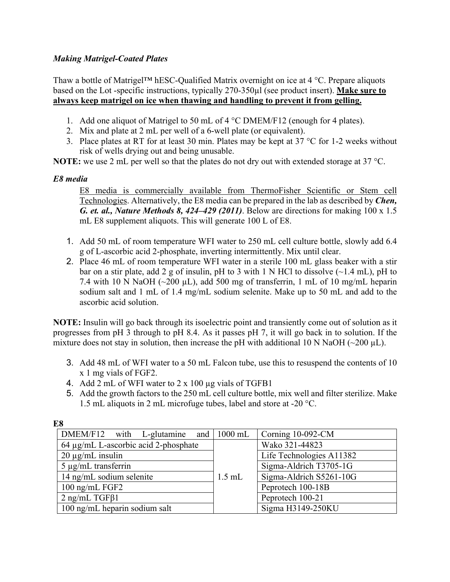# *Making Matrigel-Coated Plates*

Thaw a bottle of Matrigel™ hESC-Qualified Matrix overnight on ice at 4 °C. Prepare aliquots based on the Lot -specific instructions, typically 270-350µl (see product insert). **Make sure to always keep matrigel on ice when thawing and handling to prevent it from gelling.**

- 1. Add one aliquot of Matrigel to 50 mL of 4 °C DMEM/F12 (enough for 4 plates).
- 2. Mix and plate at 2 mL per well of a 6-well plate (or equivalent).
- 3. Place plates at RT for at least 30 min. Plates may be kept at  $37 \degree C$  for 1-2 weeks without risk of wells drying out and being unusable.

**NOTE:** we use 2 mL per well so that the plates do not dry out with extended storage at 37 °C.

# *E8 media*

E8 media is commercially available from ThermoFisher Scientific or Stem cell Technologies. Alternatively, the E8 media can be prepared in the lab as described by *Chen, G. et. al., Nature Methods 8, 424–429 (2011)*. Below are directions for making 100 x 1.5 mL E8 supplement aliquots. This will generate 100 L of E8.

- 1. Add 50 mL of room temperature WFI water to 250 mL cell culture bottle, slowly add 6.4 g of L-ascorbic acid 2-phosphate, inverting intermittently. Mix until clear.
- 2. Place 46 mL of room temperature WFI water in a sterile 100 mL glass beaker with a stir bar on a stir plate, add 2 g of insulin, pH to 3 with 1 N HCl to dissolve  $(\sim 1.4 \text{ mL})$ , pH to 7.4 with 10 N NaOH ( $\sim$ 200 µL), add 500 mg of transferrin, 1 mL of 10 mg/mL heparin sodium salt and 1 mL of 1.4 mg/mL sodium selenite. Make up to 50 mL and add to the ascorbic acid solution.

**NOTE:** Insulin will go back through its isoelectric point and transiently come out of solution as it progresses from pH 3 through to pH 8.4. As it passes pH 7, it will go back in to solution. If the mixture does not stay in solution, then increase the pH with additional 10 N NaOH ( $\sim$ 200  $\mu$ L).

- 3. Add 48 mL of WFI water to a 50 mL Falcon tube, use this to resuspend the contents of 10 x 1 mg vials of FGF2.
- 4. Add 2 mL of WFI water to 2 x 100 µg vials of TGFB1
- 5. Add the growth factors to the 250 mL cell culture bottle, mix well and filter sterilize. Make 1.5 mL aliquots in 2 mL microfuge tubes, label and store at -20 °C.

| w                                       |          |                          |
|-----------------------------------------|----------|--------------------------|
| $DMEM/F12$ with L-glutamine and 1000 mL |          | Corning 10-092-CM        |
| 64 µg/mL L-ascorbic acid 2-phosphate    |          | Wako 321-44823           |
| $20 \mu g/mL$ insulin                   |          | Life Technologies A11382 |
| $5 \mu g/mL$ transferrin                |          | Sigma-Aldrich T3705-1G   |
| 14 ng/mL sodium selenite                | $1.5$ mL | Sigma-Aldrich S5261-10G  |
| $100$ ng/mL FGF2                        |          | Peprotech 100-18B        |
| $2$ ng/mL TGF $\beta$ 1                 |          | Peprotech 100-21         |
| 100 ng/mL heparin sodium salt           |          | Sigma H3149-250KU        |

**E8**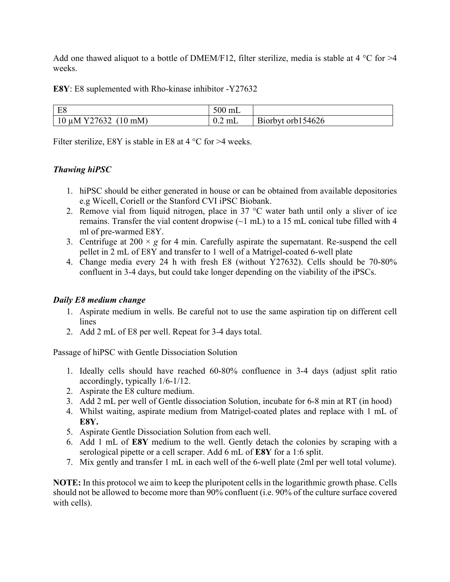Add one thawed aliquot to a bottle of DMEM/F12, filter sterilize, media is stable at 4  $^{\circ}$ C for  $>4$ weeks.

**E8Y**: E8 suplemented with Rho-kinase inhibitor -Y27632

| $\Gamma$<br>ΓO                     | $\sim$ 0.0<br>m <sub>L</sub><br>⊃∪∪ r |                           |
|------------------------------------|---------------------------------------|---------------------------|
| 727632<br>mM<br>11 IV/I<br>10<br>u | $\sim$<br>0.2 mL                      | 54626<br>B10rbyt<br>orblo |

Filter sterilize, E8Y is stable in E8 at  $4^{\circ}$ C for  $>4$  weeks.

# *Thawing hiPSC*

- 1. hiPSC should be either generated in house or can be obtained from available depositories e.g Wicell, Coriell or the Stanford CVI iPSC Biobank.
- 2. Remove vial from liquid nitrogen, place in  $37 \text{ °C}$  water bath until only a sliver of ice remains. Transfer the vial content dropwise  $(\sim 1 \text{ mL})$  to a 15 mL conical tube filled with 4 ml of pre-warmed E8Y.
- 3. Centrifuge at  $200 \times g$  for 4 min. Carefully aspirate the supernatant. Re-suspend the cell pellet in 2 mL of E8Y and transfer to 1 well of a Matrigel-coated 6-well plate
- 4. Change media every 24 h with fresh E8 (without Y27632). Cells should be 70-80% confluent in 3-4 days, but could take longer depending on the viability of the iPSCs.

# *Daily E8 medium change*

- 1. Aspirate medium in wells. Be careful not to use the same aspiration tip on different cell lines
- 2. Add 2 mL of E8 per well. Repeat for 3-4 days total.

Passage of hiPSC with Gentle Dissociation Solution

- 1. Ideally cells should have reached 60-80% confluence in 3-4 days (adjust split ratio accordingly, typically 1/6-1/12.
- 2. Aspirate the E8 culture medium.
- 3. Add 2 mL per well of Gentle dissociation Solution, incubate for 6-8 min at RT (in hood)
- 4. Whilst waiting, aspirate medium from Matrigel-coated plates and replace with 1 mL of **E8Y.**
- 5. Aspirate Gentle Dissociation Solution from each well.
- 6. Add 1 mL of **E8Y** medium to the well. Gently detach the colonies by scraping with a serological pipette or a cell scraper. Add 6 mL of **E8Y** for a 1:6 split.
- 7. Mix gently and transfer 1 mL in each well of the 6-well plate (2ml per well total volume).

**NOTE:** In this protocol we aim to keep the pluripotent cells in the logarithmic growth phase. Cells should not be allowed to become more than 90% confluent (i.e. 90% of the culture surface covered with cells).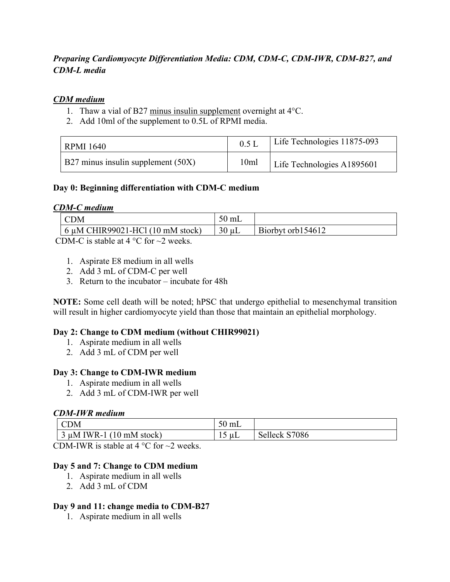# *Preparing Cardiomyocyte Differentiation Media: CDM, CDM-C, CDM-IWR, CDM-B27, and CDM-L media*

## *CDM medium*

- 1. Thaw a vial of B27 minus insulin supplement overnight at 4°C.
- 2. Add 10ml of the supplement to 0.5L of RPMI media.

| RPMI 1640                          | $0.5$ I | Life Technologies 11875-093 |
|------------------------------------|---------|-----------------------------|
| B27 minus insulin supplement (50X) | 10ml    | Life Technologies A1895601  |

### **Day 0: Beginning differentiation with CDM-C medium**

#### *CDM-C medium*

| DΜ                                             | $50 \text{ mL}$ |                   |
|------------------------------------------------|-----------------|-------------------|
| $\frac{1}{2}$ 6 µM CHIR99021-HCl (10 mM stock) | 30<br>`uL       | Biorbyt orb154612 |

CDM-C is stable at 4  $\degree$ C for  $\sim$ 2 weeks.

- 1. Aspirate E8 medium in all wells
- 2. Add 3 mL of CDM-C per well
- 3. Return to the incubator incubate for 48h

**NOTE:** Some cell death will be noted; hPSC that undergo epithelial to mesenchymal transition will result in higher cardiomyocyte yield than those that maintain an epithelial morphology.

#### **Day 2: Change to CDM medium (without CHIR99021)**

- 1. Aspirate medium in all wells
- 2. Add 3 mL of CDM per well

#### **Day 3: Change to CDM-IWR medium**

- 1. Aspirate medium in all wells
- 2. Add 3 mL of CDM-IWR per well

#### *CDM-IWR medium*

| JМ                                              | $\sim$ $\sim$<br>mL<br>⊃∪∴ |                           |
|-------------------------------------------------|----------------------------|---------------------------|
| <b>IWR-1</b><br>$(10 \text{ mM stock})$<br>TEM. | μL                         | S7086<br>Selleck '<br>ا ب |

CDM-IWR is stable at 4  $\degree$ C for  $\sim$ 2 weeks.

#### **Day 5 and 7: Change to CDM medium**

- 1. Aspirate medium in all wells
- 2. Add 3 mL of CDM

#### **Day 9 and 11: change media to CDM-B27**

1. Aspirate medium in all wells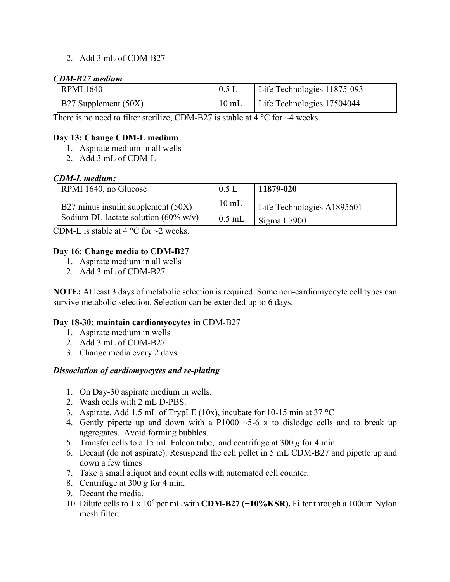# 2. Add 3 mL of CDM-B27

#### *CDM-B27 medium*

| <b>RPMI 1640</b>     | $0.5$ L         | Life Technologies 11875-093 |
|----------------------|-----------------|-----------------------------|
| B27 Supplement (50X) | $10 \text{ mL}$ | Life Technologies 17504044  |

There is no need to filter sterilize, CDM-B27 is stable at  $4^{\circ}$ C for  $\sim$ 4 weeks.

### **Day 13: Change CDM-L medium**

- 1. Aspirate medium in all wells
- 2. Add 3 mL of CDM-L

### *CDM-L medium:*

| RPMI 1640, no Glucose                           | $0.5$ I         | 11879-020                  |
|-------------------------------------------------|-----------------|----------------------------|
| B27 minus insulin supplement (50X)              | $10 \text{ mL}$ | Life Technologies A1895601 |
| Sodium DL-lactate solution $(60\% \text{ w/v})$ | $0.5$ mL        | Sigma L7900                |

CDM-L is stable at 4  $^{\circ}$ C for  $\sim$ 2 weeks.

### **Day 16: Change media to CDM-B27**

- 1. Aspirate medium in all wells
- 2. Add 3 mL of CDM-B27

**NOTE:** At least 3 days of metabolic selection is required. Some non-cardiomyocyte cell types can survive metabolic selection. Selection can be extended up to 6 days.

#### **Day 18-30: maintain cardiomyocytes in** CDM-B27

- 1. Aspirate medium in wells
- 2. Add 3 mL of CDM-B27
- 3. Change media every 2 days

#### *Dissociation of cardiomyocytes and re-plating*

- 1. On Day-30 aspirate medium in wells.
- 2. Wash cells with 2 mL D-PBS.
- 3. Aspirate. Add 1.5 mL of TrypLE (10x), incubate for 10-15 min at 37 **°**C
- 4. Gently pipette up and down with a  $P1000 \sim 5-6$  x to dislodge cells and to break up aggregates. Avoid forming bubbles.
- 5. Transfer cells to a 15 mL Falcon tube, and centrifuge at 300 *g* for 4 min.
- 6. Decant (do not aspirate). Resuspend the cell pellet in 5 mL CDM-B27 and pipette up and down a few times
- 7. Take a small aliquot and count cells with automated cell counter.
- 8. Centrifuge at 300 *g* for 4 min.
- 9. Decant the media.
- 10. Dilute cells to 1 x 106 per mL with **CDM-B27 (+10%KSR).** Filter through a 100um Nylon mesh filter.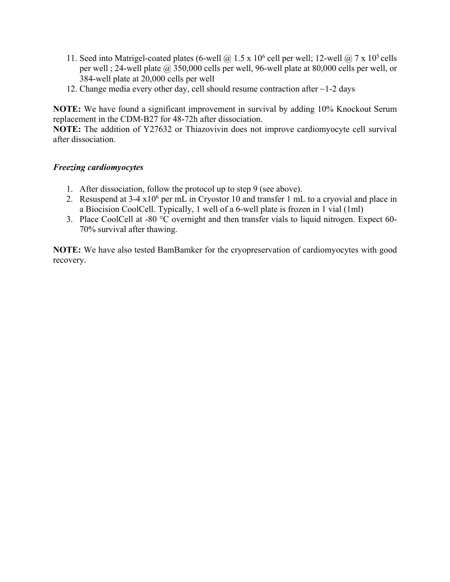- 11. Seed into Matrigel-coated plates (6-well  $@$  1.5 x 10<sup>6</sup> cell per well; 12-well  $@$  7 x 10<sup>5</sup> cells per well ; 24-well plate @ 350,000 cells per well, 96-well plate at 80,000 cells per well, or 384-well plate at 20,000 cells per well
- 12. Change media every other day, cell should resume contraction after ~1-2 days

**NOTE:** We have found a significant improvement in survival by adding 10% Knockout Serum replacement in the CDM-B27 for 48-72h after dissociation.

**NOTE:** The addition of Y27632 or Thiazovivin does not improve cardiomyocyte cell survival after dissociation.

# *Freezing cardiomyocytes*

- 1. After dissociation, follow the protocol up to step 9 (see above).
- 2. Resuspend at  $3-4 \times 10^6$  per mL in Cryostor 10 and transfer 1 mL to a cryovial and place in a Biocision CoolCell. Typically, 1 well of a 6-well plate is frozen in 1 vial (1ml)
- 3. Place CoolCell at -80 °C overnight and then transfer vials to liquid nitrogen. Expect 60- 70% survival after thawing.

**NOTE:** We have also tested BamBamker for the cryopreservation of cardiomyocytes with good recovery.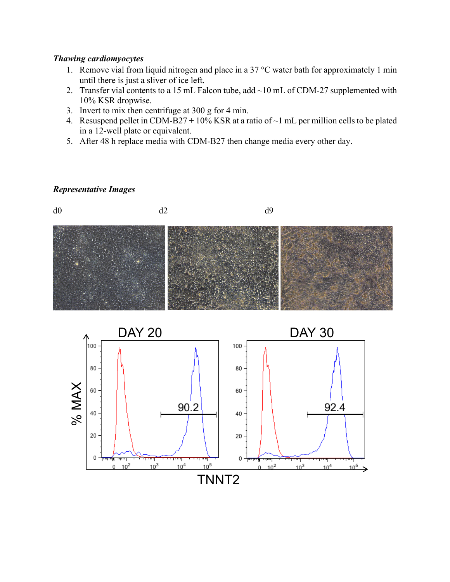#### *Thawing cardiomyocytes*

- 1. Remove vial from liquid nitrogen and place in a 37  $\degree$ C water bath for approximately 1 min until there is just a sliver of ice left.
- 2. Transfer vial contents to a 15 mL Falcon tube, add  $\sim$ 10 mL of CDM-27 supplemented with 10% KSR dropwise.
- 3. Invert to mix then centrifuge at 300 g for 4 min.
- 4. Resuspend pellet in CDM-B27 + 10% KSR at a ratio of  $\sim$ 1 mL per million cells to be plated in a 12-well plate or equivalent.
- 5. After 48 h replace media with CDM-B27 then change media every other day.

### *Representative Images*

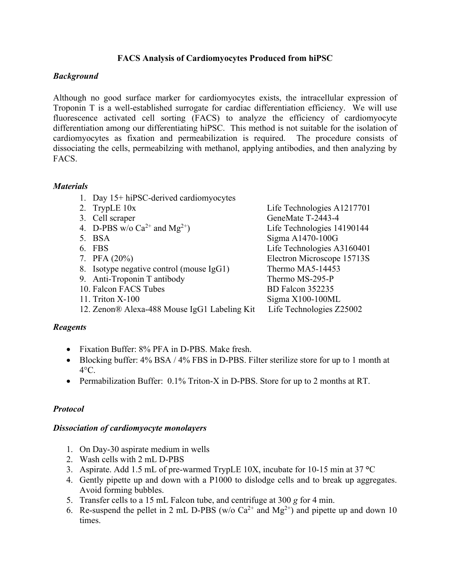# **FACS Analysis of Cardiomyocytes Produced from hiPSC**

# *Background*

Although no good surface marker for cardiomyocytes exists, the intracellular expression of Troponin T is a well-established surrogate for cardiac differentiation efficiency. We will use fluorescence activated cell sorting (FACS) to analyze the efficiency of cardiomyocyte differentiation among our differentiating hiPSC. This method is not suitable for the isolation of cardiomyocytes as fixation and permeabilization is required. The procedure consists of dissociating the cells, permeabilzing with methanol, applying antibodies, and then analyzing by FACS.

# *Materials*

- 1. Day 15+ hiPSC-derived cardiomyocytes
- 
- 
- 4. D-PBS w/o  $Ca^{2+}$  and  $Mg^{2+}$ ) Life Technologies 14190144
- 
- 
- 
- 8. Isotype negative control (mouse IgG1) Thermo MA5-14453
- 9. Anti-Troponin T antibody Thermo MS-295-P
- 
- 
- 12. Zenon® Alexa-488 Mouse IgG1 Labeling KitLife Technologies Z25002

# *Reagents*

- Fixation Buffer: 8% PFA in D-PBS. Make fresh.
- Blocking buffer: 4% BSA / 4% FBS in D-PBS. Filter sterilize store for up to 1 month at  $4^{\circ}$ C.
- Permabilization Buffer: 0.1% Triton-X in D-PBS. Store for up to 2 months at RT.

# *Protocol*

# *Dissociation of cardiomyocyte monolayers*

- 1. On Day-30 aspirate medium in wells
- 2. Wash cells with 2 mL D-PBS
- 3. Aspirate. Add 1.5 mL of pre-warmed TrypLE 10X, incubate for 10-15 min at 37 **°**C
- 4. Gently pipette up and down with a P1000 to dislodge cells and to break up aggregates. Avoid forming bubbles.
- 5. Transfer cells to a 15 mL Falcon tube, and centrifuge at 300 *g* for 4 min.
- 6. Re-suspend the pellet in 2 mL D-PBS (w/o  $Ca^{2+}$  and  $Mg^{2+}$ ) and pipette up and down 10 times.

2. TrypLE 10x Life Technologies A1217701 3. Cell scraper GeneMate T-2443-4 5. BSA Sigma A1470-100G 6. FBS Life Technologies A3160401 7. PFA (20%) Electron Microscope 15713S 10. Falcon FACS Tubes BD Falcon 352235 11. Triton X-100 Sigma X100-100ML